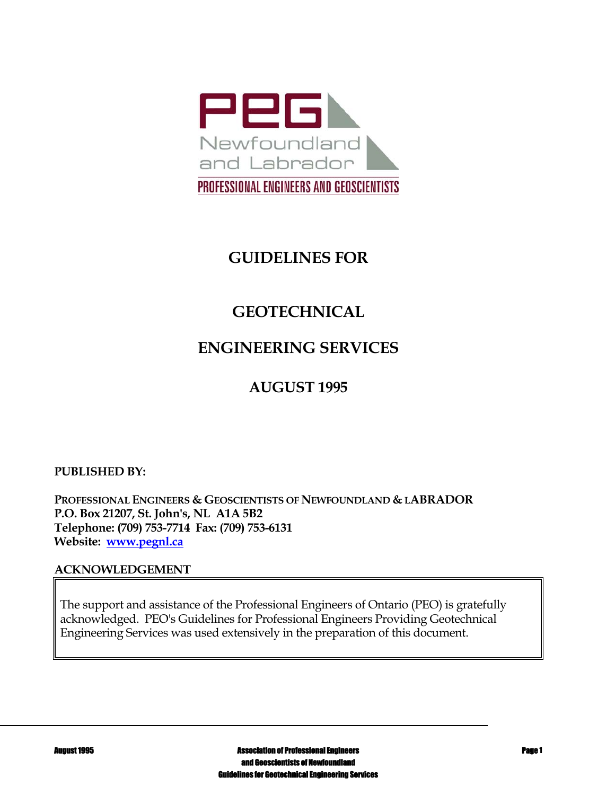

# **GUIDELINES FOR**

# **GEOTECHNICAL**

# **ENGINEERING SERVICES**

# **AUGUST 1995**

### **PUBLISHED BY:**

**PROFESSIONAL ENGINEERS & GEOSCIENTISTS OF NEWFOUNDLAND & LABRADOR P.O. Box 21207, St. John's, NL A1A 5B2 Telephone: (709) 753-7714 Fax: (709) 753-6131 Website: www.pegnl.ca** 

#### **ACKNOWLEDGEMENT**

The support and assistance of the Professional Engineers of Ontario (PEO) is gratefully acknowledged. PEO's Guidelines for Professional Engineers Providing Geotechnical Engineering Services was used extensively in the preparation of this document.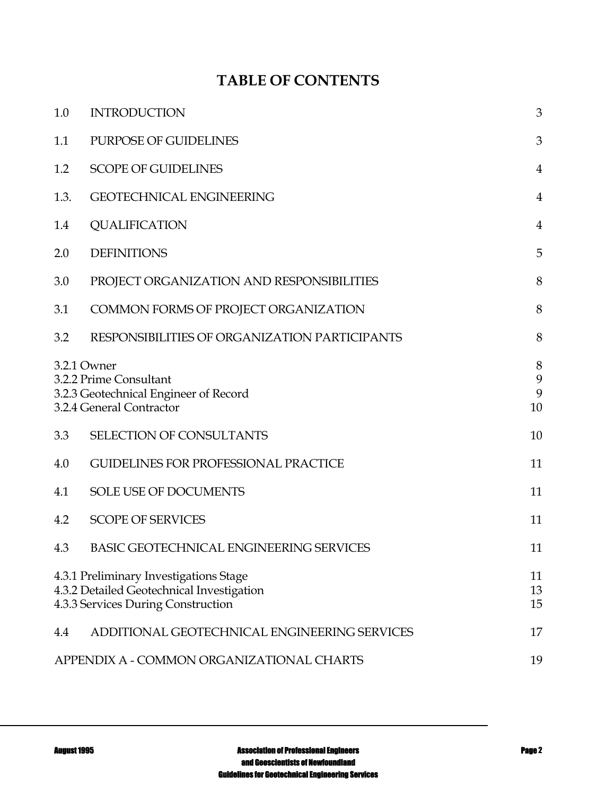# **TABLE OF CONTENTS**

| 1.0                                                                                                                       | <b>INTRODUCTION</b>                            | 3                 |
|---------------------------------------------------------------------------------------------------------------------------|------------------------------------------------|-------------------|
| 1.1                                                                                                                       | PURPOSE OF GUIDELINES                          | 3                 |
| 1.2                                                                                                                       | <b>SCOPE OF GUIDELINES</b>                     | $\overline{4}$    |
| 1.3.                                                                                                                      | <b>GEOTECHNICAL ENGINEERING</b>                | $\overline{4}$    |
| 1.4                                                                                                                       | <b>QUALIFICATION</b>                           | $\overline{4}$    |
| 2.0                                                                                                                       | <b>DEFINITIONS</b>                             | 5                 |
| 3.0                                                                                                                       | PROJECT ORGANIZATION AND RESPONSIBILITIES      | 8                 |
| 3.1                                                                                                                       | COMMON FORMS OF PROJECT ORGANIZATION           | 8                 |
| 3.2                                                                                                                       | RESPONSIBILITIES OF ORGANIZATION PARTICIPANTS  | 8                 |
| 3.2.1 Owner<br>3.2.2 Prime Consultant<br>3.2.3 Geotechnical Engineer of Record<br>3.2.4 General Contractor                |                                                | 8<br>9<br>9<br>10 |
| 3.3                                                                                                                       | SELECTION OF CONSULTANTS                       | 10                |
| 4.0                                                                                                                       | <b>GUIDELINES FOR PROFESSIONAL PRACTICE</b>    | 11                |
| 4.1                                                                                                                       | SOLE USE OF DOCUMENTS                          | 11                |
| 4.2                                                                                                                       | <b>SCOPE OF SERVICES</b>                       | 11                |
| 4.3                                                                                                                       | <b>BASIC GEOTECHNICAL ENGINEERING SERVICES</b> | 11                |
| 4.3.1 Preliminary Investigations Stage<br>4.3.2 Detailed Geotechnical Investigation<br>4.3.3 Services During Construction |                                                | 11<br>13<br>15    |
| 4.4                                                                                                                       | ADDITIONAL GEOTECHNICAL ENGINEERING SERVICES   | 17                |
|                                                                                                                           | APPENDIX A - COMMON ORGANIZATIONAL CHARTS      | 19                |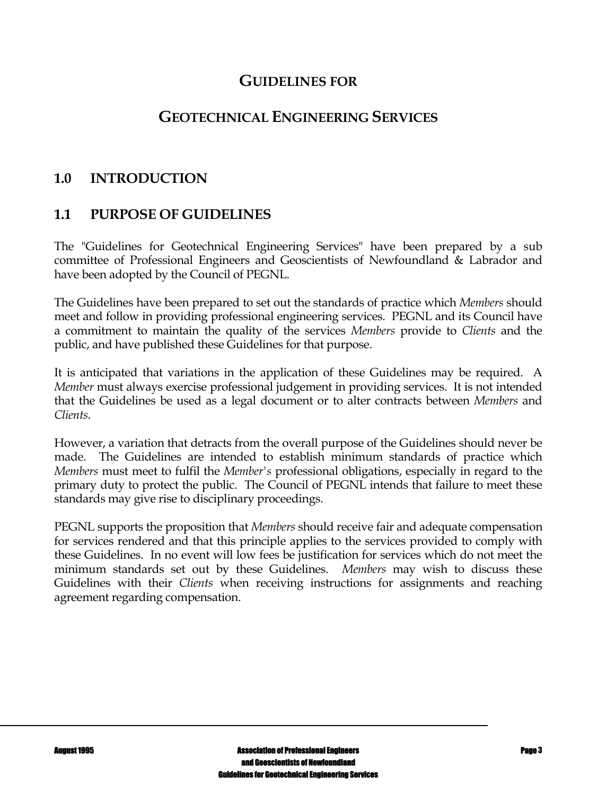## **GUIDELINES FOR**

# **GEOTECHNICAL ENGINEERING SERVICES**

# **1.0 INTRODUCTION**

# **1.1 PURPOSE OF GUIDELINES**

The "Guidelines for Geotechnical Engineering Services" have been prepared by a sub committee of Professional Engineers and Geoscientists of Newfoundland & Labrador and have been adopted by the Council of PEGNL.

The Guidelines have been prepared to set out the standards of practice which *Members* should meet and follow in providing professional engineering services. PEGNL and its Council have a commitment to maintain the quality of the services *Members* provide to *Clients* and the public, and have published these Guidelines for that purpose.

It is anticipated that variations in the application of these Guidelines may be required. A *Member* must always exercise professional judgement in providing services. It is not intended that the Guidelines be used as a legal document or to alter contracts between *Members* and *Clients*.

However, a variation that detracts from the overall purpose of the Guidelines should never be made. The Guidelines are intended to establish minimum standards of practice which *Members* must meet to fulfil the *Member's* professional obligations, especially in regard to the primary duty to protect the public. The Council of PEGNL intends that failure to meet these standards may give rise to disciplinary proceedings.

PEGNL supports the proposition that *Members* should receive fair and adequate compensation for services rendered and that this principle applies to the services provided to comply with these Guidelines. In no event will low fees be justification for services which do not meet the minimum standards set out by these Guidelines. *Members* may wish to discuss these Guidelines with their *Clients* when receiving instructions for assignments and reaching agreement regarding compensation.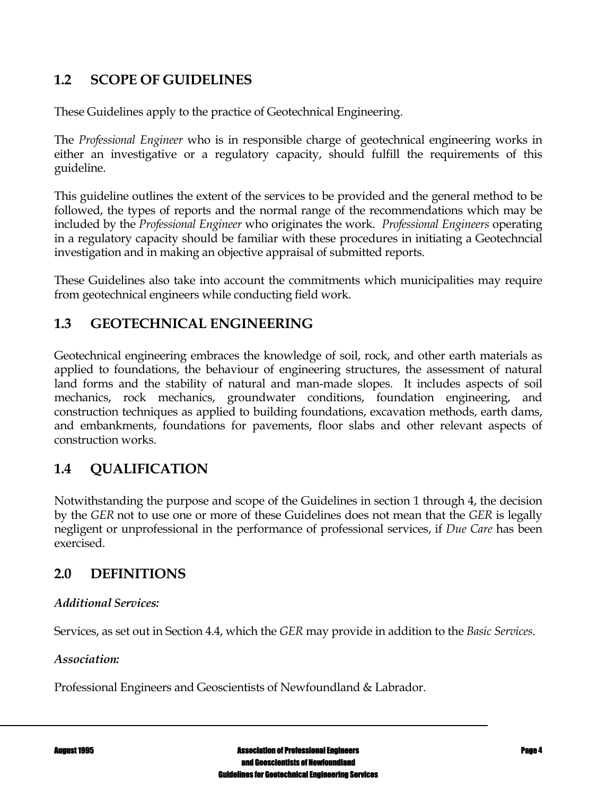# **1.2 SCOPE OF GUIDELINES**

These Guidelines apply to the practice of Geotechnical Engineering.

The *Professional Engineer* who is in responsible charge of geotechnical engineering works in either an investigative or a regulatory capacity, should fulfill the requirements of this guideline.

This guideline outlines the extent of the services to be provided and the general method to be followed, the types of reports and the normal range of the recommendations which may be included by the *Professional Engineer* who originates the work. *Professional Engineers* operating in a regulatory capacity should be familiar with these procedures in initiating a Geotechncial investigation and in making an objective appraisal of submitted reports.

These Guidelines also take into account the commitments which municipalities may require from geotechnical engineers while conducting field work.

# **1.3 GEOTECHNICAL ENGINEERING**

Geotechnical engineering embraces the knowledge of soil, rock, and other earth materials as applied to foundations, the behaviour of engineering structures, the assessment of natural land forms and the stability of natural and man-made slopes. It includes aspects of soil mechanics, rock mechanics, groundwater conditions, foundation engineering, and construction techniques as applied to building foundations, excavation methods, earth dams, and embankments, foundations for pavements, floor slabs and other relevant aspects of construction works.

# **1.4 QUALIFICATION**

Notwithstanding the purpose and scope of the Guidelines in section 1 through 4, the decision by the *GER* not to use one or more of these Guidelines does not mean that the *GER* is legally negligent or unprofessional in the performance of professional services, if *Due Care* has been exercised.

## **2.0 DEFINITIONS**

#### *Additional Services:*

Services, as set out in Section 4.4, which the *GER* may provide in addition to the *Basic Services*.

#### *Association:*

Professional Engineers and Geoscientists of Newfoundland & Labrador.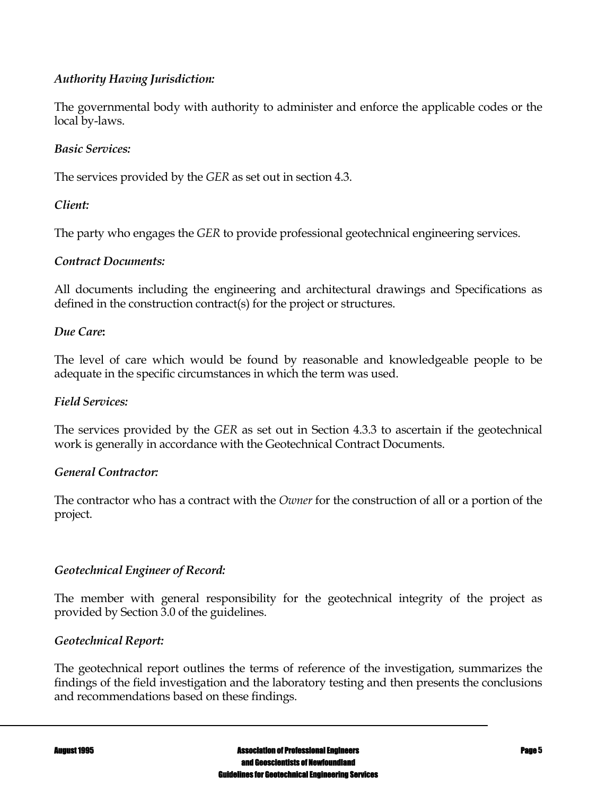### *Authority Having Jurisdiction:*

The governmental body with authority to administer and enforce the applicable codes or the local by-laws.

### *Basic Services:*

The services provided by the *GER* as set out in section 4.3.

### *Client:*

The party who engages the *GER* to provide professional geotechnical engineering services.

### *Contract Documents:*

All documents including the engineering and architectural drawings and Specifications as defined in the construction contract(s) for the project or structures.

#### *Due Care***:**

The level of care which would be found by reasonable and knowledgeable people to be adequate in the specific circumstances in which the term was used.

#### *Field Services:*

The services provided by the *GER* as set out in Section 4.3.3 to ascertain if the geotechnical work is generally in accordance with the Geotechnical Contract Documents.

#### *General Contractor:*

The contractor who has a contract with the *Owner* for the construction of all or a portion of the project.

### *Geotechnical Engineer of Record:*

The member with general responsibility for the geotechnical integrity of the project as provided by Section 3.0 of the guidelines.

### *Geotechnical Report:*

The geotechnical report outlines the terms of reference of the investigation, summarizes the findings of the field investigation and the laboratory testing and then presents the conclusions and recommendations based on these findings.

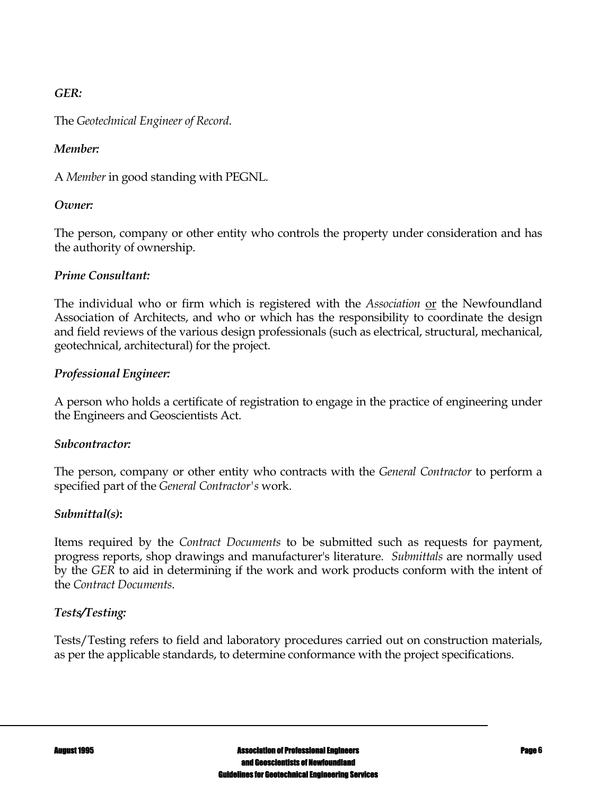### *GER:*

The *Geotechnical Engineer of Record*.

### *Member:*

A *Member* in good standing with PEGNL*.*

### *Owner:*

The person, company or other entity who controls the property under consideration and has the authority of ownership.

### *Prime Consultant:*

The individual who or firm which is registered with the *Association* or the Newfoundland Association of Architects, and who or which has the responsibility to coordinate the design and field reviews of the various design professionals (such as electrical, structural, mechanical, geotechnical, architectural) for the project.

### *Professional Engineer:*

A person who holds a certificate of registration to engage in the practice of engineering under the Engineers and Geoscientists Act.

#### *Subcontractor:*

The person, company or other entity who contracts with the *General Contractor* to perform a specified part of the *General Contractor's* work.

### *Submittal(s)***:**

Items required by the *Contract Documents* to be submitted such as requests for payment, progress reports, shop drawings and manufacturer's literature. *Submittals* are normally used by the *GER* to aid in determining if the work and work products conform with the intent of the *Contract Documents*.

### *Tests/Testing:*

Tests/Testing refers to field and laboratory procedures carried out on construction materials, as per the applicable standards, to determine conformance with the project specifications.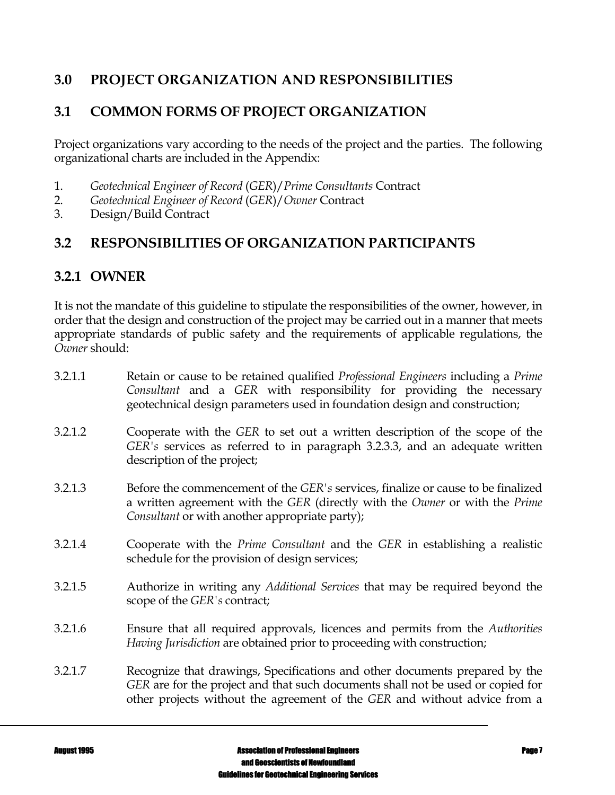# **3.0 PROJECT ORGANIZATION AND RESPONSIBILITIES**

# **3.1 COMMON FORMS OF PROJECT ORGANIZATION**

Project organizations vary according to the needs of the project and the parties. The following organizational charts are included in the Appendix:

- 1. *Geotechnical Engineer of Record* (*GER*)/*Prime Consultants* Contract
- 2. *Geotechnical Engineer of Record* (*GER*)/*Owner* Contract
- 3. Design/Build Contract

## **3.2 RESPONSIBILITIES OF ORGANIZATION PARTICIPANTS**

## **3.2.1 OWNER**

It is not the mandate of this guideline to stipulate the responsibilities of the owner, however, in order that the design and construction of the project may be carried out in a manner that meets appropriate standards of public safety and the requirements of applicable regulations, the *Owner* should:

| 3.2.1.1 | Retain or cause to be retained qualified <i>Professional Engineers</i> including a <i>Prime</i><br>Consultant and a GER with responsibility for providing the necessary<br>geotechnical design parameters used in foundation design and construction; |
|---------|-------------------------------------------------------------------------------------------------------------------------------------------------------------------------------------------------------------------------------------------------------|
| 3.2.1.2 | Cooperate with the GER to set out a written description of the scope of the<br>GER's services as referred to in paragraph 3.2.3.3, and an adequate written<br>description of the project;                                                             |
| 3.2.1.3 | Before the commencement of the <i>GER's</i> services, finalize or cause to be finalized<br>a written agreement with the GER (directly with the Owner or with the Prime<br>Consultant or with another appropriate party);                              |
| 3.2.1.4 | Cooperate with the <i>Prime Consultant</i> and the GER in establishing a realistic<br>schedule for the provision of design services;                                                                                                                  |
| 3.2.1.5 | Authorize in writing any Additional Services that may be required beyond the<br>scope of the GER's contract;                                                                                                                                          |
| 3.2.1.6 | Ensure that all required approvals, licences and permits from the Authorities<br>Having Jurisdiction are obtained prior to proceeding with construction;                                                                                              |
| 3.2.1.7 | Recognize that drawings, Specifications and other documents prepared by the<br>GER are for the project and that such documents shall not be used or copied for<br>other projects without the agreement of the GER and without advice from a           |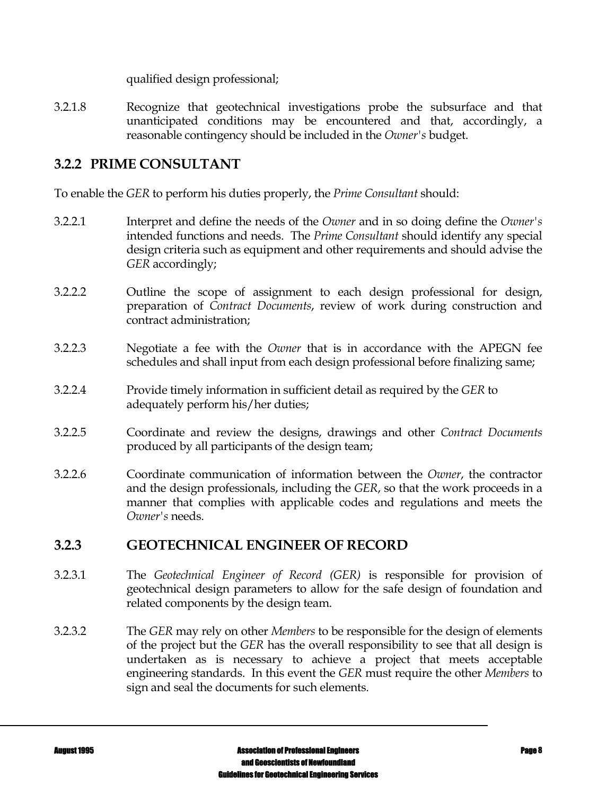qualified design professional;

3.2.1.8 Recognize that geotechnical investigations probe the subsurface and that unanticipated conditions may be encountered and that, accordingly, a reasonable contingency should be included in the *Owner's* budget.

# **3.2.2 PRIME CONSULTANT**

To enable the *GER* to perform his duties properly, the *Prime Consultant* should:

- 3.2.2.1 Interpret and define the needs of the *Owner* and in so doing define the *Owner's* intended functions and needs. The *Prime Consultant* should identify any special design criteria such as equipment and other requirements and should advise the *GER* accordingly;
- 3.2.2.2 Outline the scope of assignment to each design professional for design, preparation of *Contract Documents*, review of work during construction and contract administration;
- 3.2.2.3 Negotiate a fee with the *Owner* that is in accordance with the APEGN fee schedules and shall input from each design professional before finalizing same;
- 3.2.2.4 Provide timely information in sufficient detail as required by the *GER* to adequately perform his/her duties;
- 3.2.2.5 Coordinate and review the designs, drawings and other *Contract Documents*  produced by all participants of the design team;
- 3.2.2.6 Coordinate communication of information between the *Owner*, the contractor and the design professionals, including the *GER*, so that the work proceeds in a manner that complies with applicable codes and regulations and meets the *Owner's* needs.

### **3.2.3 GEOTECHNICAL ENGINEER OF RECORD**

- 3.2.3.1 The *Geotechnical Engineer of Record (GER)* is responsible for provision of geotechnical design parameters to allow for the safe design of foundation and related components by the design team.
- 3.2.3.2 The *GER* may rely on other *Members* to be responsible for the design of elements of the project but the *GER* has the overall responsibility to see that all design is undertaken as is necessary to achieve a project that meets acceptable engineering standards. In this event the *GER* must require the other *Members* to sign and seal the documents for such elements.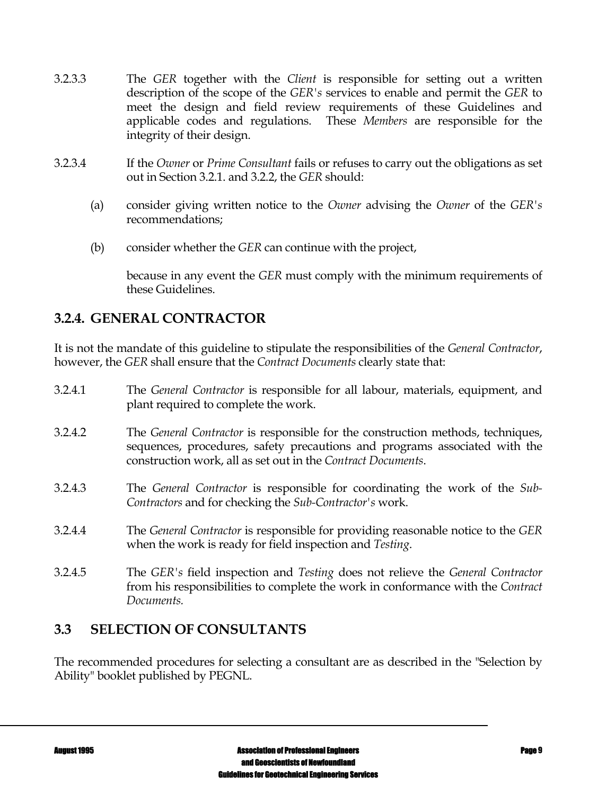- 3.2.3.3 The *GER* together with the *Client* is responsible for setting out a written description of the scope of the *GER's* services to enable and permit the *GER* to meet the design and field review requirements of these Guidelines and applicable codes and regulations. These *Members* are responsible for the integrity of their design.
- 3.2.3.4 If the *Owner* or *Prime Consultant* fails or refuses to carry out the obligations as set out in Section 3.2.1. and 3.2.2, the *GER* should:
	- (a) consider giving written notice to the *Owner* advising the *Owner* of the *GER's* recommendations;
	- (b) consider whether the *GER* can continue with the project,

 because in any event the *GER* must comply with the minimum requirements of these Guidelines.

# **3.2.4. GENERAL CONTRACTOR**

It is not the mandate of this guideline to stipulate the responsibilities of the *General Contractor*, however, the *GER* shall ensure that the *Contract Documents* clearly state that:

| 3.2.4.1 | The General Contractor is responsible for all labour, materials, equipment, and<br>plant required to complete the work.                                                                                                              |
|---------|--------------------------------------------------------------------------------------------------------------------------------------------------------------------------------------------------------------------------------------|
| 3.2.4.2 | The <i>General Contractor</i> is responsible for the construction methods, techniques,<br>sequences, procedures, safety precautions and programs associated with the<br>construction work, all as set out in the Contract Documents. |
| 3.2.4.3 | The General Contractor is responsible for coordinating the work of the Sub-<br>Contractors and for checking the Sub-Contractor's work.                                                                                               |
| 3.2.4.4 | The <i>General Contractor</i> is responsible for providing reasonable notice to the <i>GER</i><br>when the work is ready for field inspection and Testing.                                                                           |
| 3.2.4.5 | The GER's field inspection and Testing does not relieve the General Contractor<br>from his responsibilities to complete the work in conformance with the Contract<br>Documents.                                                      |

# **3.3 SELECTION OF CONSULTANTS**

The recommended procedures for selecting a consultant are as described in the "Selection by Ability" booklet published by PEGNL.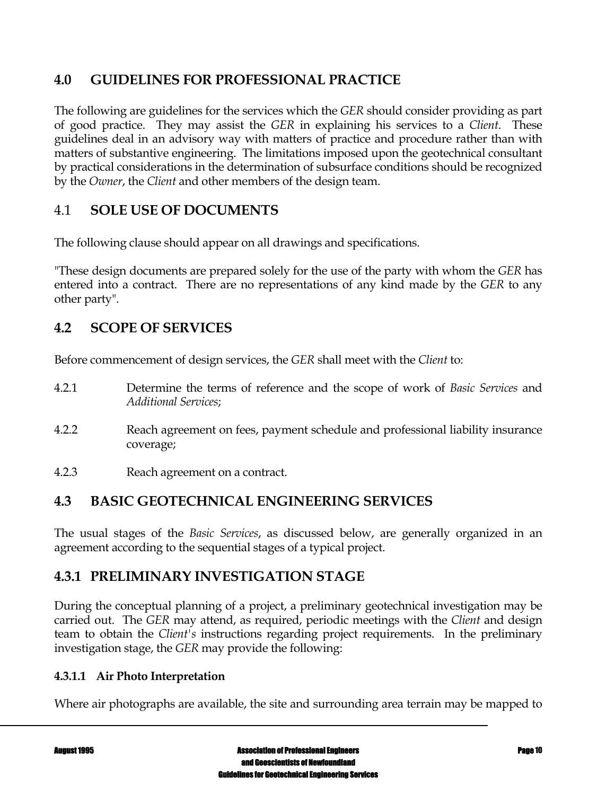# **4.0 GUIDELINES FOR PROFESSIONAL PRACTICE**

The following are guidelines for the services which the *GER* should consider providing as part of good practice. They may assist the *GER* in explaining his services to a *Client*. These guidelines deal in an advisory way with matters of practice and procedure rather than with matters of substantive engineering. The limitations imposed upon the geotechnical consultant by practical considerations in the determination of subsurface conditions should be recognized by the *Owner*, the *Client* and other members of the design team.

# 4.1 **SOLE USE OF DOCUMENTS**

The following clause should appear on all drawings and specifications.

"These design documents are prepared solely for the use of the party with whom the *GER* has entered into a contract. There are no representations of any kind made by the *GER* to any other party".

# **4.2 SCOPE OF SERVICES**

Before commencement of design services, the *GER* shall meet with the *Client* to:

- 4.2.1 Determine the terms of reference and the scope of work of *Basic Services* and *Additional Services*;
- 4.2.2 Reach agreement on fees, payment schedule and professional liability insurance coverage;
- 4.2.3 Reach agreement on a contract.

# **4.3 BASIC GEOTECHNICAL ENGINEERING SERVICES**

The usual stages of the *Basic Services*, as discussed below, are generally organized in an agreement according to the sequential stages of a typical project.

# **4.3.1 PRELIMINARY INVESTIGATION STAGE**

During the conceptual planning of a project, a preliminary geotechnical investigation may be carried out. The *GER* may attend, as required, periodic meetings with the *Client* and design team to obtain the *Client's* instructions regarding project requirements. In the preliminary investigation stage, the *GER* may provide the following:

### **4.3.1.1 Air Photo Interpretation**

Where air photographs are available, the site and surrounding area terrain may be mapped to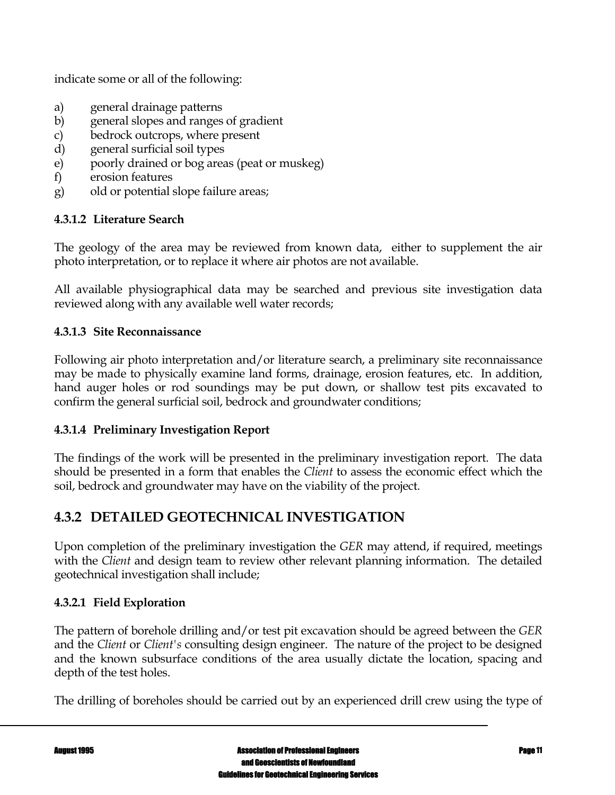indicate some or all of the following:

- a) general drainage patterns
- b) general slopes and ranges of gradient
- c) bedrock outcrops, where present
- d) general surficial soil types
- e) poorly drained or bog areas (peat or muskeg)
- f) erosion features
- g) old or potential slope failure areas;

### **4.3.1.2 Literature Search**

The geology of the area may be reviewed from known data, either to supplement the air photo interpretation, or to replace it where air photos are not available.

All available physiographical data may be searched and previous site investigation data reviewed along with any available well water records;

#### **4.3.1.3 Site Reconnaissance**

Following air photo interpretation and/or literature search, a preliminary site reconnaissance may be made to physically examine land forms, drainage, erosion features, etc. In addition, hand auger holes or rod soundings may be put down, or shallow test pits excavated to confirm the general surficial soil, bedrock and groundwater conditions;

#### **4.3.1.4 Preliminary Investigation Report**

The findings of the work will be presented in the preliminary investigation report. The data should be presented in a form that enables the *Client* to assess the economic effect which the soil, bedrock and groundwater may have on the viability of the project.

# **4.3.2 DETAILED GEOTECHNICAL INVESTIGATION**

Upon completion of the preliminary investigation the *GER* may attend, if required, meetings with the *Client* and design team to review other relevant planning information. The detailed geotechnical investigation shall include;

#### **4.3.2.1 Field Exploration**

The pattern of borehole drilling and/or test pit excavation should be agreed between the *GER* and the *Client* or *Client's* consulting design engineer. The nature of the project to be designed and the known subsurface conditions of the area usually dictate the location, spacing and depth of the test holes.

The drilling of boreholes should be carried out by an experienced drill crew using the type of

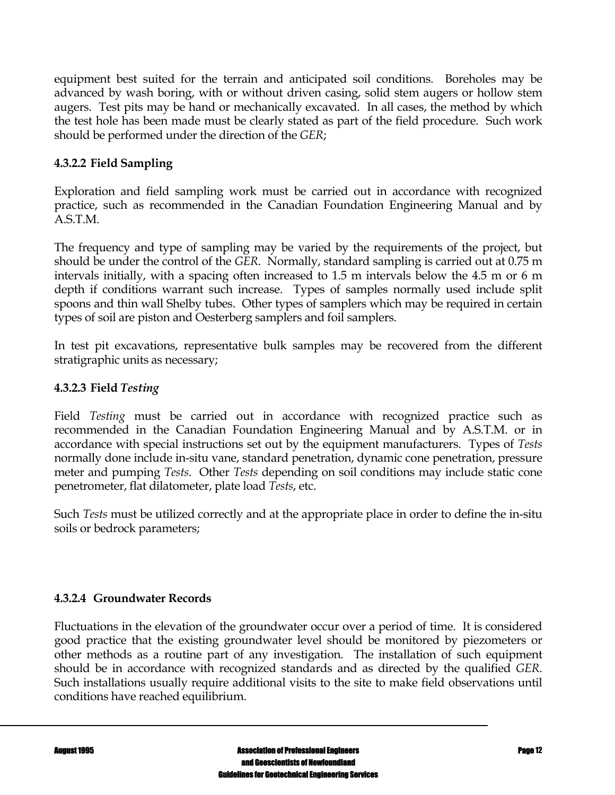equipment best suited for the terrain and anticipated soil conditions. Boreholes may be advanced by wash boring, with or without driven casing, solid stem augers or hollow stem augers. Test pits may be hand or mechanically excavated. In all cases, the method by which the test hole has been made must be clearly stated as part of the field procedure. Such work should be performed under the direction of the *GER*;

## **4.3.2.2 Field Sampling**

Exploration and field sampling work must be carried out in accordance with recognized practice, such as recommended in the Canadian Foundation Engineering Manual and by A.S.T.M.

The frequency and type of sampling may be varied by the requirements of the project, but should be under the control of the *GER*. Normally, standard sampling is carried out at 0.75 m intervals initially, with a spacing often increased to 1.5 m intervals below the 4.5 m or 6 m depth if conditions warrant such increase. Types of samples normally used include split spoons and thin wall Shelby tubes. Other types of samplers which may be required in certain types of soil are piston and Oesterberg samplers and foil samplers.

In test pit excavations, representative bulk samples may be recovered from the different stratigraphic units as necessary;

### **4.3.2.3 Field** *Testing*

Field *Testing* must be carried out in accordance with recognized practice such as recommended in the Canadian Foundation Engineering Manual and by A.S.T.M. or in accordance with special instructions set out by the equipment manufacturers. Types of *Tests* normally done include in-situ vane, standard penetration, dynamic cone penetration, pressure meter and pumping *Tests*. Other *Tests* depending on soil conditions may include static cone penetrometer, flat dilatometer, plate load *Tests*, etc.

Such *Tests* must be utilized correctly and at the appropriate place in order to define the in-situ soils or bedrock parameters;

#### **4.3.2.4 Groundwater Records**

Fluctuations in the elevation of the groundwater occur over a period of time. It is considered good practice that the existing groundwater level should be monitored by piezometers or other methods as a routine part of any investigation. The installation of such equipment should be in accordance with recognized standards and as directed by the qualified *GER*. Such installations usually require additional visits to the site to make field observations until conditions have reached equilibrium.

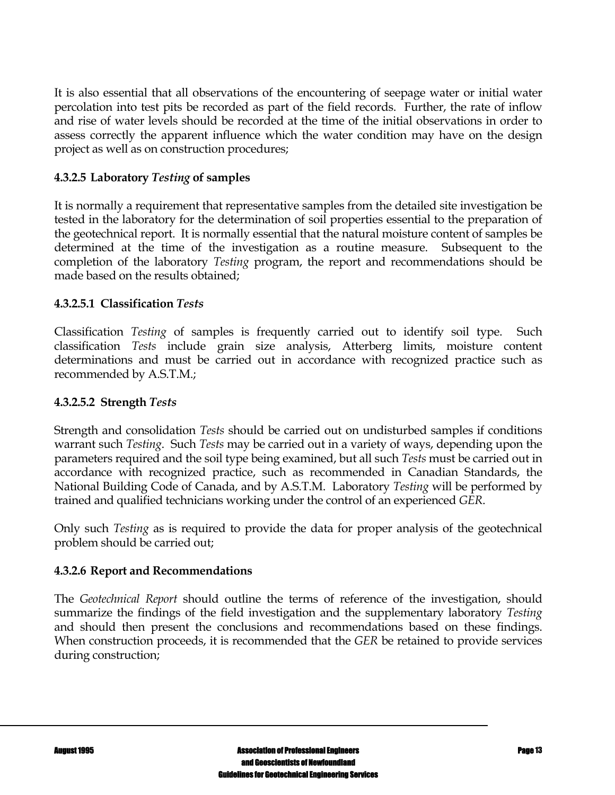It is also essential that all observations of the encountering of seepage water or initial water percolation into test pits be recorded as part of the field records. Further, the rate of inflow and rise of water levels should be recorded at the time of the initial observations in order to assess correctly the apparent influence which the water condition may have on the design project as well as on construction procedures;

#### **4.3.2.5 Laboratory** *Testing* **of samples**

It is normally a requirement that representative samples from the detailed site investigation be tested in the laboratory for the determination of soil properties essential to the preparation of the geotechnical report. It is normally essential that the natural moisture content of samples be determined at the time of the investigation as a routine measure. Subsequent to the completion of the laboratory *Testing* program, the report and recommendations should be made based on the results obtained;

#### **4.3.2.5.1 Classification** *Tests*

Classification *Testing* of samples is frequently carried out to identify soil type. Such classification *Tests* include grain size analysis, Atterberg limits, moisture content determinations and must be carried out in accordance with recognized practice such as recommended by A.S.T.M.;

### **4.3.2.5.2 Strength** *Tests*

Strength and consolidation *Tests* should be carried out on undisturbed samples if conditions warrant such *Testing*. Such *Tests* may be carried out in a variety of ways, depending upon the parameters required and the soil type being examined, but all such *Tests* must be carried out in accordance with recognized practice, such as recommended in Canadian Standards, the National Building Code of Canada, and by A.S.T.M. Laboratory *Testing* will be performed by trained and qualified technicians working under the control of an experienced *GER*.

Only such *Testing* as is required to provide the data for proper analysis of the geotechnical problem should be carried out;

#### **4.3.2.6 Report and Recommendations**

The *Geotechnical Report* should outline the terms of reference of the investigation, should summarize the findings of the field investigation and the supplementary laboratory *Testing* and should then present the conclusions and recommendations based on these findings. When construction proceeds, it is recommended that the *GER* be retained to provide services during construction;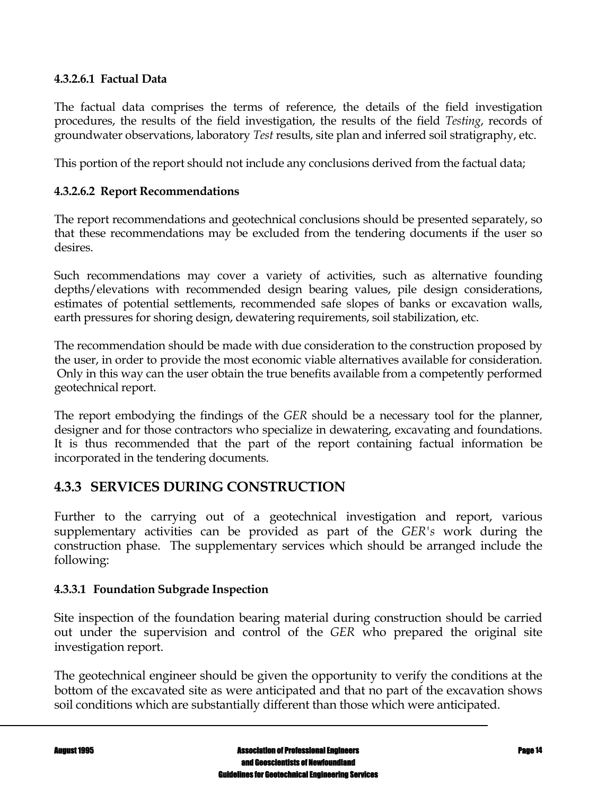#### **4.3.2.6.1 Factual Data**

The factual data comprises the terms of reference, the details of the field investigation procedures, the results of the field investigation, the results of the field *Testing*, records of groundwater observations, laboratory *Test* results, site plan and inferred soil stratigraphy, etc.

This portion of the report should not include any conclusions derived from the factual data;

#### **4.3.2.6.2 Report Recommendations**

The report recommendations and geotechnical conclusions should be presented separately, so that these recommendations may be excluded from the tendering documents if the user so desires.

Such recommendations may cover a variety of activities, such as alternative founding depths/elevations with recommended design bearing values, pile design considerations, estimates of potential settlements, recommended safe slopes of banks or excavation walls, earth pressures for shoring design, dewatering requirements, soil stabilization, etc.

The recommendation should be made with due consideration to the construction proposed by the user, in order to provide the most economic viable alternatives available for consideration. Only in this way can the user obtain the true benefits available from a competently performed geotechnical report.

The report embodying the findings of the *GER* should be a necessary tool for the planner, designer and for those contractors who specialize in dewatering, excavating and foundations. It is thus recommended that the part of the report containing factual information be incorporated in the tendering documents.

### **4.3.3 SERVICES DURING CONSTRUCTION**

Further to the carrying out of a geotechnical investigation and report, various supplementary activities can be provided as part of the *GER's* work during the construction phase. The supplementary services which should be arranged include the following:

#### **4.3.3.1 Foundation Subgrade Inspection**

Site inspection of the foundation bearing material during construction should be carried out under the supervision and control of the *GER* who prepared the original site investigation report.

The geotechnical engineer should be given the opportunity to verify the conditions at the bottom of the excavated site as were anticipated and that no part of the excavation shows soil conditions which are substantially different than those which were anticipated.

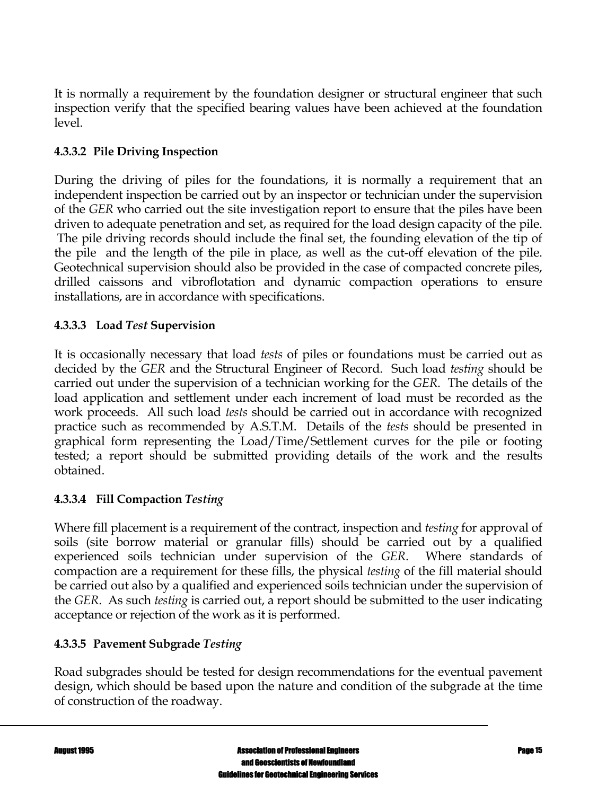It is normally a requirement by the foundation designer or structural engineer that such inspection verify that the specified bearing values have been achieved at the foundation level.

## **4.3.3.2 Pile Driving Inspection**

During the driving of piles for the foundations, it is normally a requirement that an independent inspection be carried out by an inspector or technician under the supervision of the *GER* who carried out the site investigation report to ensure that the piles have been driven to adequate penetration and set, as required for the load design capacity of the pile. The pile driving records should include the final set, the founding elevation of the tip of the pile and the length of the pile in place, as well as the cut-off elevation of the pile. Geotechnical supervision should also be provided in the case of compacted concrete piles, drilled caissons and vibroflotation and dynamic compaction operations to ensure installations, are in accordance with specifications.

### **4.3.3.3 Load** *Test* **Supervision**

It is occasionally necessary that load *tests* of piles or foundations must be carried out as decided by the *GER* and the Structural Engineer of Record. Such load *testing* should be carried out under the supervision of a technician working for the *GER*. The details of the load application and settlement under each increment of load must be recorded as the work proceeds. All such load *tests* should be carried out in accordance with recognized practice such as recommended by A.S.T.M. Details of the *tests* should be presented in graphical form representing the Load/Time/Settlement curves for the pile or footing tested; a report should be submitted providing details of the work and the results obtained.

### **4.3.3.4 Fill Compaction** *Testing*

Where fill placement is a requirement of the contract, inspection and *testing* for approval of soils (site borrow material or granular fills) should be carried out by a qualified experienced soils technician under supervision of the *GER*. Where standards of compaction are a requirement for these fills, the physical *testing* of the fill material should be carried out also by a qualified and experienced soils technician under the supervision of the *GER*. As such *testing* is carried out, a report should be submitted to the user indicating acceptance or rejection of the work as it is performed.

### **4.3.3.5 Pavement Subgrade** *Testing*

Road subgrades should be tested for design recommendations for the eventual pavement design, which should be based upon the nature and condition of the subgrade at the time of construction of the roadway.

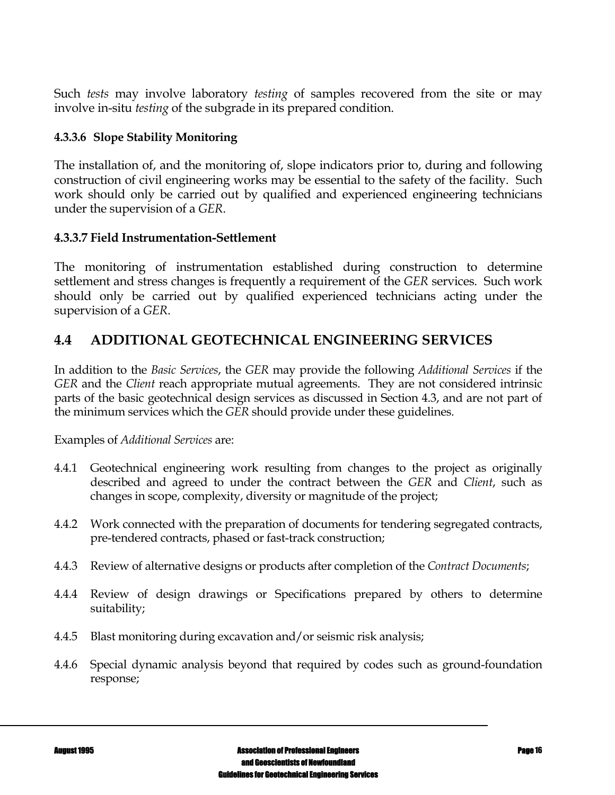Such *tests* may involve laboratory *testing* of samples recovered from the site or may involve in-situ *testing* of the subgrade in its prepared condition.

### **4.3.3.6 Slope Stability Monitoring**

The installation of, and the monitoring of, slope indicators prior to, during and following construction of civil engineering works may be essential to the safety of the facility. Such work should only be carried out by qualified and experienced engineering technicians under the supervision of a *GER*.

### **4.3.3.7 Field Instrumentation-Settlement**

The monitoring of instrumentation established during construction to determine settlement and stress changes is frequently a requirement of the *GER* services. Such work should only be carried out by qualified experienced technicians acting under the supervision of a *GER*.

# **4.4 ADDITIONAL GEOTECHNICAL ENGINEERING SERVICES**

In addition to the *Basic Services*, the *GER* may provide the following *Additional Services* if the *GER* and the *Client* reach appropriate mutual agreements. They are not considered intrinsic parts of the basic geotechnical design services as discussed in Section 4.3, and are not part of the minimum services which the *GER* should provide under these guidelines.

#### Examples of *Additional Services* are:

- 4.4.1 Geotechnical engineering work resulting from changes to the project as originally described and agreed to under the contract between the *GER* and *Client*, such as changes in scope, complexity, diversity or magnitude of the project;
- 4.4.2 Work connected with the preparation of documents for tendering segregated contracts, pre-tendered contracts, phased or fast-track construction;
- 4.4.3 Review of alternative designs or products after completion of the *Contract Documents*;
- 4.4.4 Review of design drawings or Specifications prepared by others to determine suitability;
- 4.4.5 Blast monitoring during excavation and/or seismic risk analysis;
- 4.4.6 Special dynamic analysis beyond that required by codes such as ground-foundation response;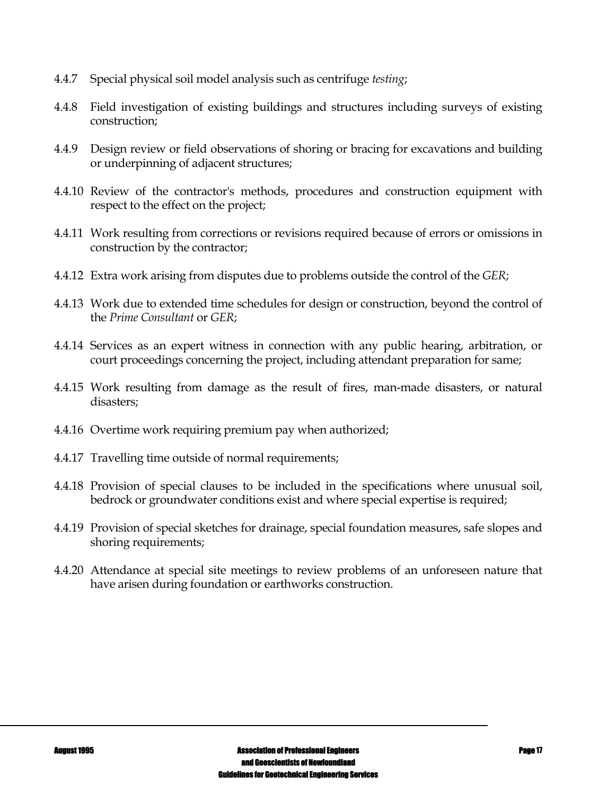- 4.4.7 Special physical soil model analysis such as centrifuge *testing*;
- 4.4.8 Field investigation of existing buildings and structures including surveys of existing construction;
- 4.4.9 Design review or field observations of shoring or bracing for excavations and building or underpinning of adjacent structures;
- 4.4.10 Review of the contractor's methods, procedures and construction equipment with respect to the effect on the project;
- 4.4.11 Work resulting from corrections or revisions required because of errors or omissions in construction by the contractor;
- 4.4.12 Extra work arising from disputes due to problems outside the control of the *GER*;
- 4.4.13 Work due to extended time schedules for design or construction, beyond the control of the *Prime Consultant* or *GER*;
- 4.4.14 Services as an expert witness in connection with any public hearing, arbitration, or court proceedings concerning the project, including attendant preparation for same;
- 4.4.15 Work resulting from damage as the result of fires, man-made disasters, or natural disasters;
- 4.4.16 Overtime work requiring premium pay when authorized;
- 4.4.17 Travelling time outside of normal requirements;
- 4.4.18 Provision of special clauses to be included in the specifications where unusual soil, bedrock or groundwater conditions exist and where special expertise is required;
- 4.4.19 Provision of special sketches for drainage, special foundation measures, safe slopes and shoring requirements;
- 4.4.20 Attendance at special site meetings to review problems of an unforeseen nature that have arisen during foundation or earthworks construction.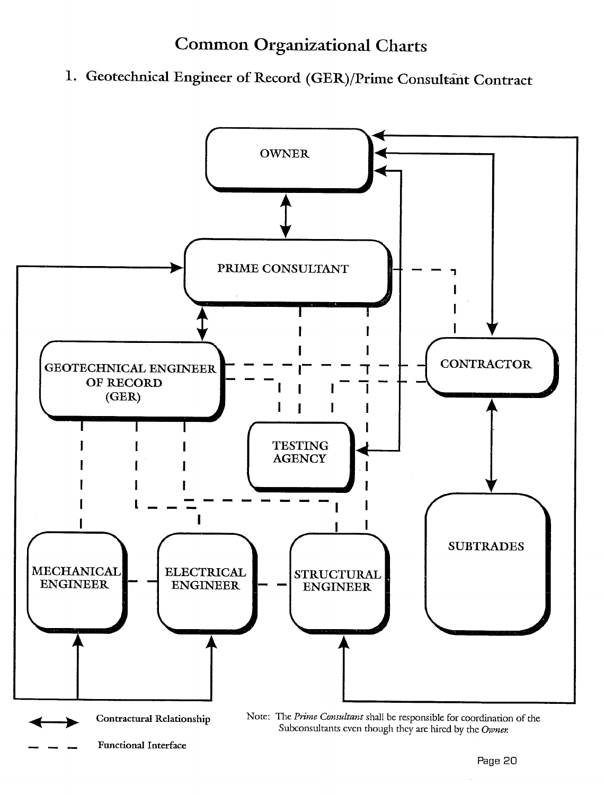# **Common Organizational Charts**

1. Geotechnical Engineer of Record (GER)/Prime Consultant Contract

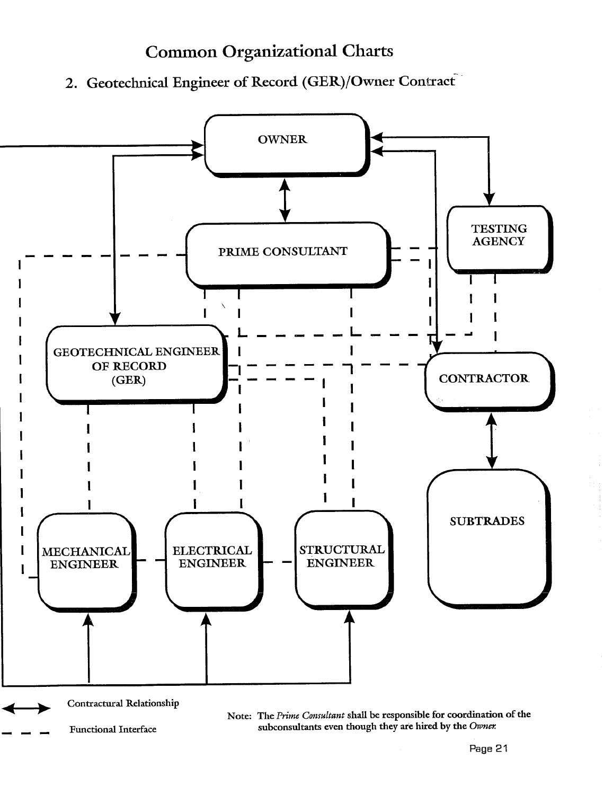# **Common Organizational Charts**

2. Geotechnical Engineer of Record (GER)/Owner Contract



**Functional Interface** 

subconsultants even though they are hired by the Owner.